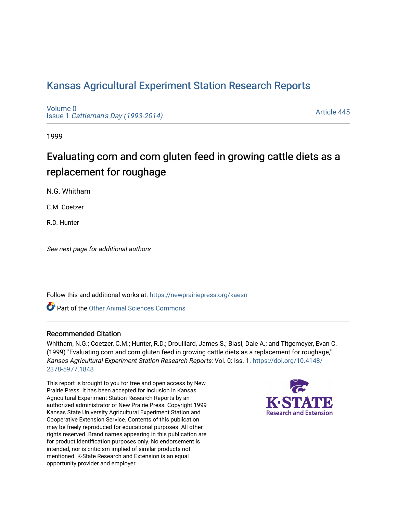## [Kansas Agricultural Experiment Station Research Reports](https://newprairiepress.org/kaesrr)

[Volume 0](https://newprairiepress.org/kaesrr/vol0) Issue 1 [Cattleman's Day \(1993-2014\)](https://newprairiepress.org/kaesrr/vol0/iss1) 

[Article 445](https://newprairiepress.org/kaesrr/vol0/iss1/445) 

1999

# Evaluating corn and corn gluten feed in growing cattle diets as a replacement for roughage

N.G. Whitham

C.M. Coetzer

R.D. Hunter

See next page for additional authors

Follow this and additional works at: [https://newprairiepress.org/kaesrr](https://newprairiepress.org/kaesrr?utm_source=newprairiepress.org%2Fkaesrr%2Fvol0%2Fiss1%2F445&utm_medium=PDF&utm_campaign=PDFCoverPages) 

**C** Part of the [Other Animal Sciences Commons](http://network.bepress.com/hgg/discipline/82?utm_source=newprairiepress.org%2Fkaesrr%2Fvol0%2Fiss1%2F445&utm_medium=PDF&utm_campaign=PDFCoverPages)

#### Recommended Citation

Whitham, N.G.; Coetzer, C.M.; Hunter, R.D.; Drouillard, James S.; Blasi, Dale A.; and Titgemeyer, Evan C. (1999) "Evaluating corn and corn gluten feed in growing cattle diets as a replacement for roughage," Kansas Agricultural Experiment Station Research Reports: Vol. 0: Iss. 1. [https://doi.org/10.4148/](https://doi.org/10.4148/2378-5977.1848) [2378-5977.1848](https://doi.org/10.4148/2378-5977.1848) 

This report is brought to you for free and open access by New Prairie Press. It has been accepted for inclusion in Kansas Agricultural Experiment Station Research Reports by an authorized administrator of New Prairie Press. Copyright 1999 Kansas State University Agricultural Experiment Station and Cooperative Extension Service. Contents of this publication may be freely reproduced for educational purposes. All other rights reserved. Brand names appearing in this publication are for product identification purposes only. No endorsement is intended, nor is criticism implied of similar products not mentioned. K-State Research and Extension is an equal opportunity provider and employer.

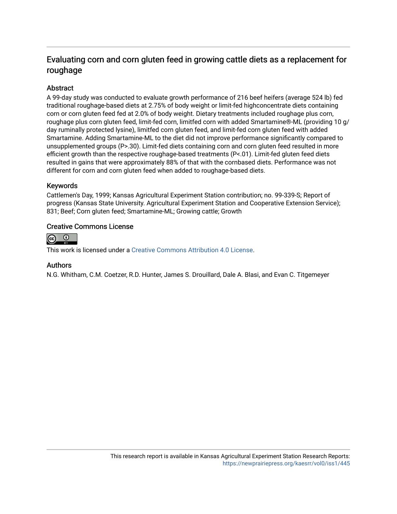### Evaluating corn and corn gluten feed in growing cattle diets as a replacement for roughage

#### **Abstract**

A 99-day study was conducted to evaluate growth performance of 216 beef heifers (average 524 lb) fed traditional roughage-based diets at 2.75% of body weight or limit-fed highconcentrate diets containing corn or corn gluten feed fed at 2.0% of body weight. Dietary treatments included roughage plus corn, roughage plus corn gluten feed, limit-fed corn, limitfed corn with added Smartamine®-ML (providing 10 g/ day ruminally protected lysine), limitfed corn gluten feed, and limit-fed corn gluten feed with added Smartamine. Adding Smartamine-ML to the diet did not improve performance significantly compared to unsupplemented groups (P>.30). Limit-fed diets containing corn and corn gluten feed resulted in more efficient growth than the respective roughage-based treatments (P<.01). Limit-fed gluten feed diets resulted in gains that were approximately 88% of that with the cornbased diets. Performance was not different for corn and corn gluten feed when added to roughage-based diets.

#### Keywords

Cattlemen's Day, 1999; Kansas Agricultural Experiment Station contribution; no. 99-339-S; Report of progress (Kansas State University. Agricultural Experiment Station and Cooperative Extension Service); 831; Beef; Corn gluten feed; Smartamine-ML; Growing cattle; Growth

#### Creative Commons License



This work is licensed under a [Creative Commons Attribution 4.0 License](https://creativecommons.org/licenses/by/4.0/).

#### Authors

N.G. Whitham, C.M. Coetzer, R.D. Hunter, James S. Drouillard, Dale A. Blasi, and Evan C. Titgemeyer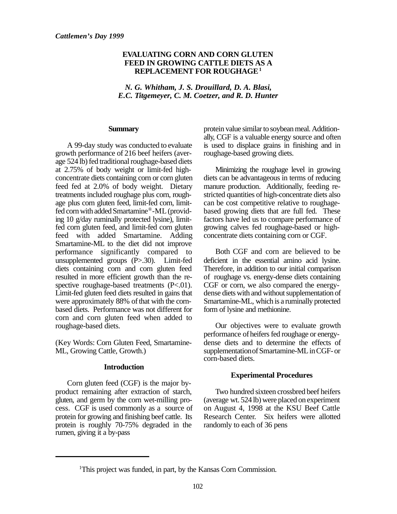#### **EVALUATING CORN AND CORN GLUTEN FEED IN GROWING CATTLE DIETS AS A REPLACEMENT FOR ROUGHAGE<sup>1</sup>**

*N. G. Whitham, J. S. Drouillard, D. A. Blasi, E.C. Titgemeyer, C. M. Coetzer, and R. D. Hunter*

#### **Summary**

A 99-day study was conducted to evaluate growth performance of 216 beef heifers (average 524 lb) fed traditional roughage-based diets at 2.75% of body weight or limit-fed highconcentrate diets containing corn or corn gluten feed fed at 2.0% of body weight. Dietary treatments included roughage plus corn, roughage plus corn gluten feed, limit-fed corn, limitfed corn with added Smartamine®-ML (providing 10 g/day ruminally protected lysine), limitfed corn gluten feed, and limit-fed corn gluten feed with added Smartamine. Adding Smartamine-ML to the diet did not improve performance significantly compared to unsupplemented groups (P>.30). Limit-fed diets containing corn and corn gluten feed resulted in more efficient growth than the respective roughage-based treatments (P<.01). Limit-fed gluten feed diets resulted in gains that were approximately 88% of that with the cornbased diets. Performance was not different for corn and corn gluten feed when added to roughage-based diets.

(Key Words: Corn Gluten Feed, Smartamine-ML, Growing Cattle, Growth.)

#### **Introduction**

Corn gluten feed (CGF) is the major byproduct remaining after extraction of starch, gluten, and germ by the corn wet-milling process. CGF is used commonly as a source of protein for growing and finishing beef cattle. Its protein is roughly 70-75% degraded in the rumen, giving it a by-pass

protein value similar to soybean meal. Additionally, CGF is a valuable energy source and often is used to displace grains in finishing and in roughage-based growing diets.

Minimizing the roughage level in growing diets can be advantageous in terms of reducing manure production. Additionally, feeding restricted quantities of high-concentrate diets also can be cost competitive relative to roughagebased growing diets that are full fed. These factors have led us to compare performance of growing calves fed roughage-based or highconcentrate diets containing corn or CGF.

Both CGF and corn are believed to be deficient in the essential amino acid lysine. Therefore, in addition to our initial comparison of roughage vs. energy-dense diets containing CGF or corn, we also compared the energydense diets with and without supplementation of Smartamine-ML, which is a ruminally protected form of lysine and methionine.

Our objectives were to evaluate growth performance of heifers fed roughage or energydense diets and to determine the effects of supplementation of Smartamine-ML in CGF- or corn-based diets.

#### **Experimental Procedures**

Two hundred sixteen crossbred beef heifers (average wt. 524 lb) were placed on experiment on August 4, 1998 at the KSU Beef Cattle Research Center. Six heifers were allotted randomly to each of 36 pens

<sup>&</sup>lt;sup>1</sup>This project was funded, in part, by the Kansas Corn Commission.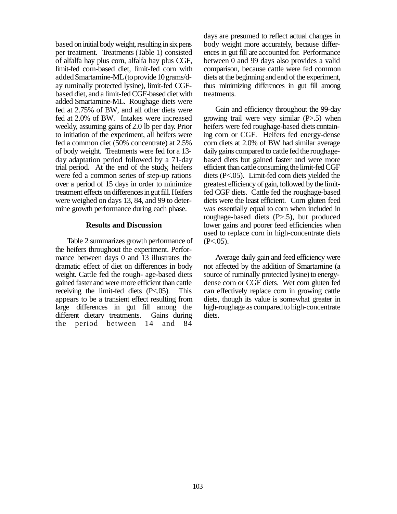based on initial body weight, resulting in six pens per treatment. Treatments (Table 1) consisted of alfalfa hay plus corn, alfalfa hay plus CGF, limit-fed corn-based diet, limit-fed corn with added Smartamine-ML (to provide 10 grams/day ruminally protected lysine), limit-fed CGFbased diet, and a limit-fed CGF-based diet with added Smartamine-ML. Roughage diets were fed at 2.75% of BW, and all other diets were fed at 2.0% of BW. Intakes were increased weekly, assuming gains of 2.0 lb per day. Prior to initiation of the experiment, all heifers were fed a common diet (50% concentrate) at 2.5% of body weight. Treatments were fed for a 13 day adaptation period followed by a 71-day trial period. At the end of the study, heifers were fed a common series of step-up rations over a period of 15 days in order to minimize treatment effects on differences in gut fill. Heifers were weighed on days 13, 84, and 99 to determine growth performance during each phase.

#### **Results and Discussion**

Table 2 summarizes growth performance of the heifers throughout the experiment. Performance between days 0 and 13 illustrates the dramatic effect of diet on differences in body weight. Cattle fed the rough- age-based diets gained faster and were more efficient than cattle receiving the limit-fed diets (P<.05). This appears to be a transient effect resulting from large differences in gut fill among the different dietary treatments. Gains during the period between 14 and 84

days are presumed to reflect actual changes in body weight more accurately, because differences in gut fill are accounted for. Performance between 0 and 99 days also provides a valid comparison, because cattle were fed common diets at the beginning and end of the experiment, thus minimizing differences in gut fill among treatments.

Gain and efficiency throughout the 99-day growing trail were very similar (P>.5) when heifers were fed roughage-based diets containing corn or CGF. Heifers fed energy-dense corn diets at 2.0% of BW had similar average daily gains compared to cattle fed the roughagebased diets but gained faster and were more efficient than cattle consuming the limit-fed CGF diets (P<.05). Limit-fed corn diets yielded the greatest efficiency of gain, followed by the limitfed CGF diets. Cattle fed the roughage-based diets were the least efficient. Corn gluten feed was essentially equal to corn when included in roughage-based diets (P>.5), but produced lower gains and poorer feed efficiencies when used to replace corn in high-concentrate diets  $(P<.05)$ .

Average daily gain and feed efficiency were not affected by the addition of Smartamine (a source of ruminally protected lysine) to energydense corn or CGF diets. Wet corn gluten fed can effectively replace corn in growing cattle diets, though its value is somewhat greater in high-roughage as compared to high-concentrate diets.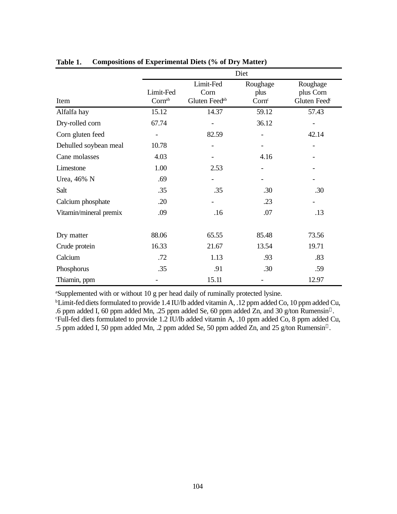|                        | Diet                |                                                |                                       |                                                   |  |
|------------------------|---------------------|------------------------------------------------|---------------------------------------|---------------------------------------------------|--|
| Item                   | Limit-Fed<br>Cornab | Limit-Fed<br>Corn<br>Gluten Feed <sup>ab</sup> | Roughage<br>plus<br>Corn <sup>c</sup> | Roughage<br>plus Corn<br>Gluten Feed <sup>c</sup> |  |
| Alfalfa hay            | 15.12               | 14.37                                          | 59.12                                 | 57.43                                             |  |
| Dry-rolled corn        | 67.74               |                                                | 36.12                                 |                                                   |  |
| Corn gluten feed       |                     | 82.59                                          |                                       | 42.14                                             |  |
| Dehulled soybean meal  | 10.78               |                                                |                                       | $\overline{\phantom{a}}$                          |  |
| Cane molasses          | 4.03                | $\overline{\phantom{a}}$                       | 4.16                                  |                                                   |  |
| Limestone              | 1.00                | 2.53                                           |                                       |                                                   |  |
| Urea, 46% N            | .69                 |                                                |                                       |                                                   |  |
| Salt                   | .35                 | .35                                            | .30                                   | .30                                               |  |
| Calcium phosphate      | .20                 |                                                | .23                                   |                                                   |  |
| Vitamin/mineral premix | .09                 | .16                                            | .07                                   | .13                                               |  |
| Dry matter             | 88.06               | 65.55                                          | 85.48                                 | 73.56                                             |  |
| Crude protein          | 16.33               | 21.67                                          | 13.54                                 | 19.71                                             |  |
| Calcium                | .72                 | 1.13                                           | .93                                   | .83                                               |  |
| Phosphorus             | .35                 | .91                                            | .30                                   | .59                                               |  |
| Thiamin, ppm           |                     | 15.11                                          |                                       | 12.97                                             |  |

**Table 1. Compositions of Experimental Diets (% of Dry Matter)**

<sup>a</sup>Supplemented with or without 10 g per head daily of ruminally protected lysine.

<sup>b</sup>Limit-fed diets formulated to provide 1.4 IU/lb added vitamin A, .12 ppm added Co, 10 ppm added Cu, .6 ppm added I, 60 ppm added Mn, .25 ppm added Se, 60 ppm added Zn, and 30 g/ton Rumensin<sup>®</sup>. <sup>c</sup>Full-fed diets formulated to provide 1.2 IU/lb added vitamin A, .10 ppm added Co, 8 ppm added Cu, .5 ppm added I, 50 ppm added Mn, .2 ppm added Se, 50 ppm added Zn, and 25 g/ton Rumensin<sup>®</sup>.